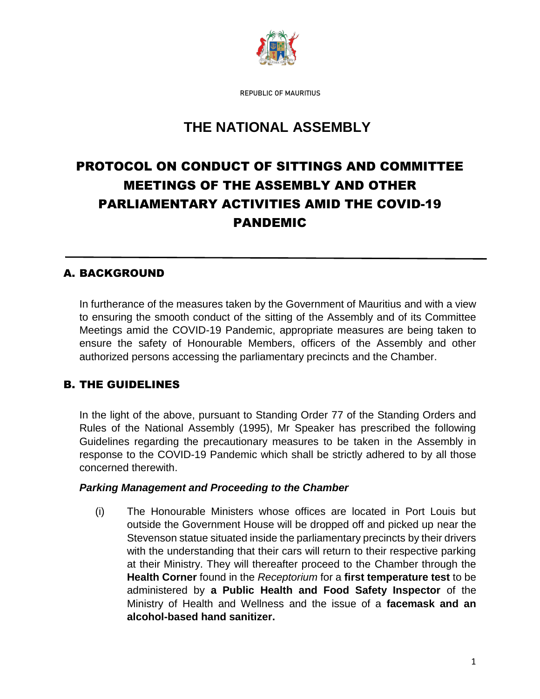

REPUBLIC OF MAURITIUS

# **THE NATIONAL ASSEMBLY**

# PROTOCOL ON CONDUCT OF SITTINGS AND COMMITTEE MEETINGS OF THE ASSEMBLY AND OTHER PARLIAMENTARY ACTIVITIES AMID THE COVID-19 PANDEMIC

### A. BACKGROUND

In furtherance of the measures taken by the Government of Mauritius and with a view to ensuring the smooth conduct of the sitting of the Assembly and of its Committee Meetings amid the COVID-19 Pandemic, appropriate measures are being taken to ensure the safety of Honourable Members, officers of the Assembly and other authorized persons accessing the parliamentary precincts and the Chamber.

# B. THE GUIDELINES

In the light of the above, pursuant to Standing Order 77 of the Standing Orders and Rules of the National Assembly (1995), Mr Speaker has prescribed the following Guidelines regarding the precautionary measures to be taken in the Assembly in response to the COVID-19 Pandemic which shall be strictly adhered to by all those concerned therewith.

#### *Parking Management and Proceeding to the Chamber*

(i) The Honourable Ministers whose offices are located in Port Louis but outside the Government House will be dropped off and picked up near the Stevenson statue situated inside the parliamentary precincts by their drivers with the understanding that their cars will return to their respective parking at their Ministry. They will thereafter proceed to the Chamber through the **Health Corner** found in the *Receptorium* for a **first temperature test** to be administered by **a Public Health and Food Safety Inspector** of the Ministry of Health and Wellness and the issue of a **facemask and an alcohol-based hand sanitizer.**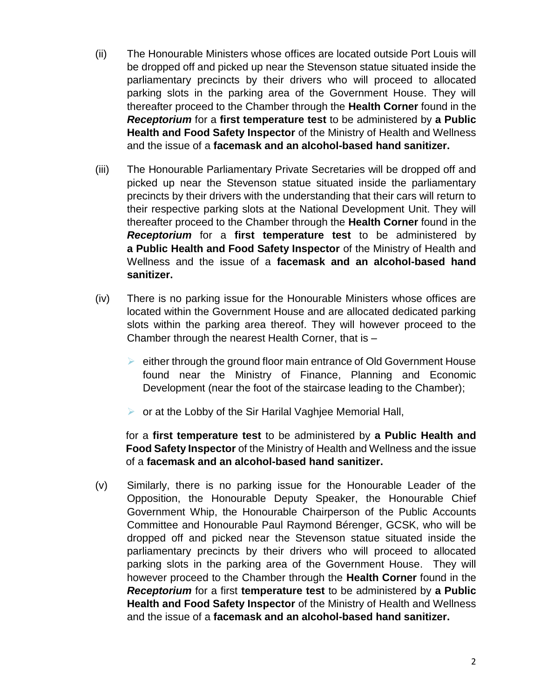- (ii) The Honourable Ministers whose offices are located outside Port Louis will be dropped off and picked up near the Stevenson statue situated inside the parliamentary precincts by their drivers who will proceed to allocated parking slots in the parking area of the Government House. They will thereafter proceed to the Chamber through the **Health Corner** found in the *Receptorium* for a **first temperature test** to be administered by **a Public Health and Food Safety Inspector** of the Ministry of Health and Wellness and the issue of a **facemask and an alcohol-based hand sanitizer.**
- (iii) The Honourable Parliamentary Private Secretaries will be dropped off and picked up near the Stevenson statue situated inside the parliamentary precincts by their drivers with the understanding that their cars will return to their respective parking slots at the National Development Unit. They will thereafter proceed to the Chamber through the **Health Corner** found in the *Receptorium* for a **first temperature test** to be administered by **a Public Health and Food Safety Inspector** of the Ministry of Health and Wellness and the issue of a **facemask and an alcohol-based hand sanitizer.**
- (iv) There is no parking issue for the Honourable Ministers whose offices are located within the Government House and are allocated dedicated parking slots within the parking area thereof. They will however proceed to the Chamber through the nearest Health Corner, that is –
	- $\triangleright$  either through the ground floor main entrance of Old Government House found near the Ministry of Finance, Planning and Economic Development (near the foot of the staircase leading to the Chamber);
	- $\triangleright$  or at the Lobby of the Sir Harilal Vaghiee Memorial Hall,

for a **first temperature test** to be administered by **a Public Health and Food Safety Inspector** of the Ministry of Health and Wellness and the issue of a **facemask and an alcohol-based hand sanitizer.**

(v) Similarly, there is no parking issue for the Honourable Leader of the Opposition, the Honourable Deputy Speaker, the Honourable Chief Government Whip, the Honourable Chairperson of the Public Accounts Committee and Honourable Paul Raymond Bérenger, GCSK, who will be dropped off and picked near the Stevenson statue situated inside the parliamentary precincts by their drivers who will proceed to allocated parking slots in the parking area of the Government House. They will however proceed to the Chamber through the **Health Corner** found in the *Receptorium* for a first **temperature test** to be administered by **a Public Health and Food Safety Inspector** of the Ministry of Health and Wellness and the issue of a **facemask and an alcohol-based hand sanitizer.**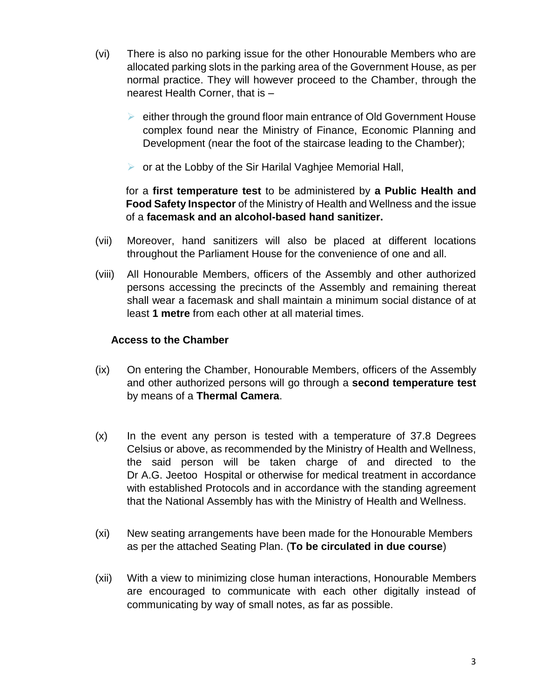- (vi) There is also no parking issue for the other Honourable Members who are allocated parking slots in the parking area of the Government House, as per normal practice. They will however proceed to the Chamber, through the nearest Health Corner, that is –
	- $\triangleright$  either through the ground floor main entrance of Old Government House complex found near the Ministry of Finance, Economic Planning and Development (near the foot of the staircase leading to the Chamber);
	- $\triangleright$  or at the Lobby of the Sir Harilal Vaghiee Memorial Hall,

for a **first temperature test** to be administered by **a Public Health and Food Safety Inspector** of the Ministry of Health and Wellness and the issue of a **facemask and an alcohol-based hand sanitizer.**

- (vii) Moreover, hand sanitizers will also be placed at different locations throughout the Parliament House for the convenience of one and all.
- (viii) All Honourable Members, officers of the Assembly and other authorized persons accessing the precincts of the Assembly and remaining thereat shall wear a facemask and shall maintain a minimum social distance of at least **1 metre** from each other at all material times.

#### **Access to the Chamber**

- (ix) On entering the Chamber, Honourable Members, officers of the Assembly and other authorized persons will go through a **second temperature test** by means of a **Thermal Camera**.
- (x) In the event any person is tested with a temperature of 37.8 Degrees Celsius or above, as recommended by the Ministry of Health and Wellness, the said person will be taken charge of and directed to the Dr A.G. Jeetoo Hospital or otherwise for medical treatment in accordance with established Protocols and in accordance with the standing agreement that the National Assembly has with the Ministry of Health and Wellness.
- (xi) New seating arrangements have been made for the Honourable Members as per the attached Seating Plan. (**To be circulated in due course**)
- (xii) With a view to minimizing close human interactions, Honourable Members are encouraged to communicate with each other digitally instead of communicating by way of small notes, as far as possible.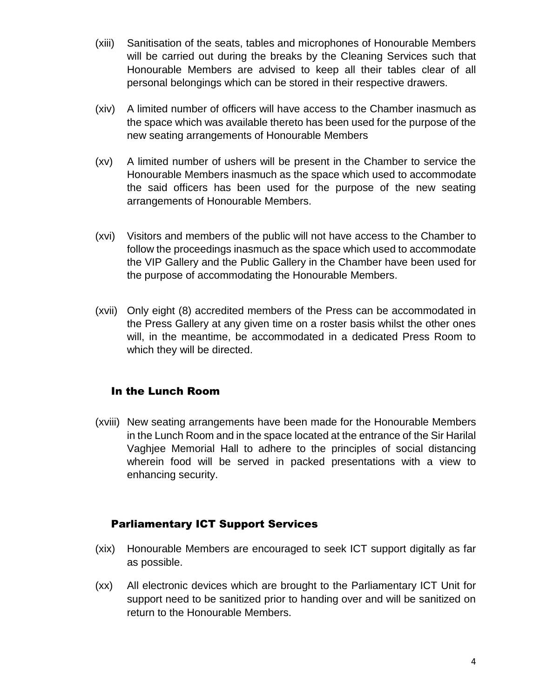- (xiii) Sanitisation of the seats, tables and microphones of Honourable Members will be carried out during the breaks by the Cleaning Services such that Honourable Members are advised to keep all their tables clear of all personal belongings which can be stored in their respective drawers.
- (xiv) A limited number of officers will have access to the Chamber inasmuch as the space which was available thereto has been used for the purpose of the new seating arrangements of Honourable Members
- (xv) A limited number of ushers will be present in the Chamber to service the Honourable Members inasmuch as the space which used to accommodate the said officers has been used for the purpose of the new seating arrangements of Honourable Members.
- (xvi) Visitors and members of the public will not have access to the Chamber to follow the proceedings inasmuch as the space which used to accommodate the VIP Gallery and the Public Gallery in the Chamber have been used for the purpose of accommodating the Honourable Members.
- (xvii) Only eight (8) accredited members of the Press can be accommodated in the Press Gallery at any given time on a roster basis whilst the other ones will, in the meantime, be accommodated in a dedicated Press Room to which they will be directed.

#### In the Lunch Room

(xviii) New seating arrangements have been made for the Honourable Members in the Lunch Room and in the space located at the entrance of the Sir Harilal Vaghjee Memorial Hall to adhere to the principles of social distancing wherein food will be served in packed presentations with a view to enhancing security.

# Parliamentary ICT Support Services

- (xix) Honourable Members are encouraged to seek ICT support digitally as far as possible.
- (xx) All electronic devices which are brought to the Parliamentary ICT Unit for support need to be sanitized prior to handing over and will be sanitized on return to the Honourable Members.